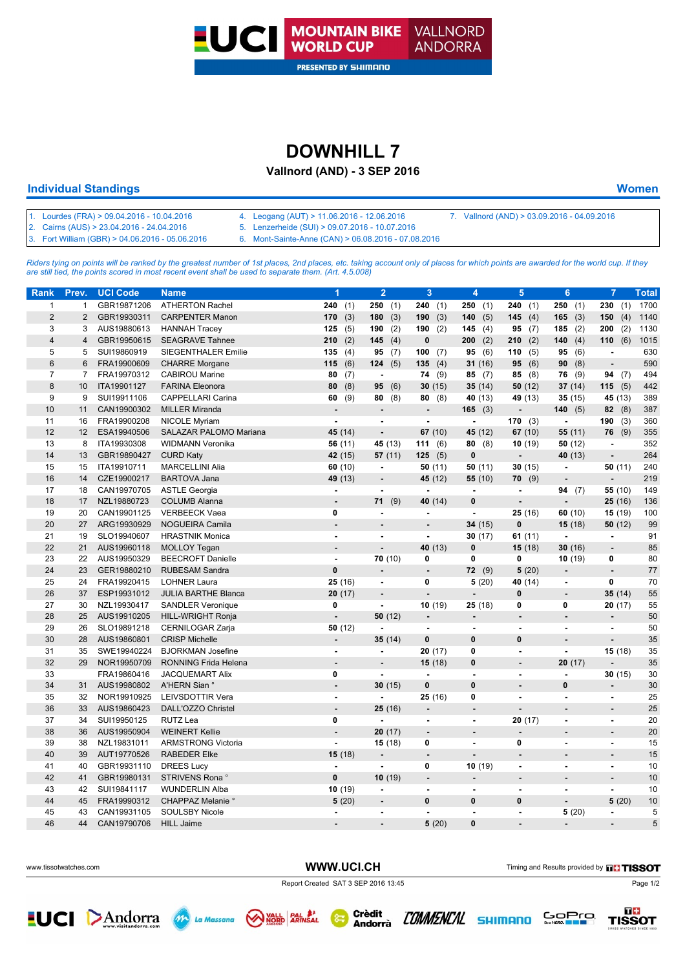## **DOWNHILL 7**

## **Vallnord (AND) - 3 SEP 2016**

## **Individual Standings Women**

| 1. Lourdes (FRA) > 09.04.2016 - 10.04.2016      | 4. Leogang (AUT) > 11.06.2016 - 12.06.2016          | 7. Vallnord (AND) > 03.09.2016 - 04.09.2016 |
|-------------------------------------------------|-----------------------------------------------------|---------------------------------------------|
| 2. Cairns (AUS) > $23.04.2016 - 24.04.2016$     | 5. Lenzerheide (SUI) > 09.07.2016 - 10.07.2016      |                                             |
| 3. Fort William (GBR) > 04.06.2016 - 05.06.2016 | 6. Mont-Sainte-Anne (CAN) > 06.08.2016 - 07.08.2016 |                                             |

Riders tying on points will be ranked by the greatest number of 1st places, 2nd places, etc. taking account only of places for which points are awarded for the world cup. If they<br>are still tied, the points scored in most r

| Rank           | Prev.          | <b>UCI Code</b>            | <b>Name</b>                                       | 1                                | $\overline{2}$           | 3                            | 4                        | 5                              | $6\phantom{a}$ | $\overline{7}$           | <b>Total</b> |
|----------------|----------------|----------------------------|---------------------------------------------------|----------------------------------|--------------------------|------------------------------|--------------------------|--------------------------------|----------------|--------------------------|--------------|
| $\mathbf{1}$   | $\mathbf{1}$   | GBR19871206                | <b>ATHERTON Rachel</b>                            | 240<br>(1)                       | 250<br>(1)               | 240<br>(1)                   | 250<br>(1)               | 240<br>(1)                     | 250<br>(1)     | 230<br>(1)               | 1700         |
| $\overline{2}$ | 2              | GBR19930311                | <b>CARPENTER Manon</b>                            | (3)<br>170                       | 180<br>(3)               | 190<br>(3)                   | (5)<br>140               | 145(4)                         | 165<br>(3)     | 150<br>(4)               | 1140         |
| 3              | 3              | AUS19880613                | <b>HANNAH Tracey</b>                              | 125(5)                           | 190<br>(2)               | 190<br>(2)                   | (4)<br>145               | 95 $(7)$                       | 185<br>(2)     | 200<br>(2)               | 1130         |
| $\overline{4}$ | $\overline{4}$ | GBR19950615                | <b>SEAGRAVE Tahnee</b>                            | (2)<br>210                       | 145<br>(4)               | $\bf{0}$                     | 200<br>(2)               | 210<br>(2)                     | 140<br>(4)     | 110<br>(6)               | 1015         |
| 5              | 5              | SUI19860919                | SIEGENTHALER Emilie                               | 135(4)                           | 95<br>(7)                | 100<br>(7)                   | (6)<br>95                | 110<br>(5)                     | 95<br>(6)      | $\blacksquare$           | 630          |
| 6              | 6              | FRA19900609                | <b>CHARRE Morgane</b>                             | (6)<br>115                       | 124 $(5)$                | 135<br>(4)                   | 31(16)                   | 95<br>(6)                      | (8)<br>90      | $\overline{\phantom{a}}$ | 590          |
| $\overline{7}$ | $\overline{7}$ | FRA19970312                | <b>CABIROU Marine</b>                             | 80<br>(7)                        | $\blacksquare$           | 74<br>(9)                    | 85(7)                    | 85(8)                          | 76<br>(9)      | 94<br>(7)                | 494          |
| 8              | 10             | ITA19901127                | <b>FARINA Eleonora</b>                            | (8)<br>80                        | 95<br>(6)                | 30(15)                       | 35(14)                   | 50(12)                         | 37(14)         | 115(5)                   | 442          |
| 9              | 9              | SUI19911106                | CAPPELLARI Carina                                 | 60<br>(9)                        | 80<br>(8)                | 80<br>(8)                    | 40 (13)                  | 49 (13)                        | 35(15)         | 45 (13)                  | 389          |
| 10             | 11             | CAN19900302                | <b>MILLER Miranda</b>                             |                                  |                          | $\overline{\phantom{a}}$     | $165$ (3)                | $\overline{a}$                 | 140(5)         | 82 $(8)$                 | 387          |
| 11             | 16             | FRA19900208                | <b>NICOLE Myriam</b>                              | $\blacksquare$                   | $\blacksquare$           | ä,                           | $\blacksquare$           | 170(3)                         | $\blacksquare$ | 190<br>(3)               | 360          |
| 12             | 12             | ESA19940506                | SALAZAR PALOMO Mariana                            | 45 (14)                          | $\overline{\phantom{a}}$ | 67(10)                       | 45 (12)                  | 67(10)                         | 55(11)         | 76<br>(9)                | 355          |
| 13             | 8              | ITA19930308                | <b>WIDMANN Veronika</b>                           | 56 (11)                          | 45 (13)                  | 111<br>(6)                   | 80(8)                    | 10(19)                         | 50(12)         | $\blacksquare$           | 352          |
| 14             | 13             | GBR19890427                | <b>CURD Katy</b>                                  | 42 (15)                          | 57(11)                   | 125(5)                       | $\mathbf{0}$             | ÷,                             | 40 (13)        | ÷,                       | 264          |
| 15             | 15             | ITA19910711                | <b>MARCELLINI Alia</b>                            | 60(10)                           | $\blacksquare$           | 50(11)                       | 50(11)                   | 30(15)                         | $\blacksquare$ | 50 $(11)$                | 240          |
| 16             | 14             | CZE19900217                | <b>BARTOVA Jana</b>                               | 49 (13)                          |                          | 45 (12)                      | 55 (10)                  | 70(9)                          |                | ÷,                       | 219          |
| 17             | 18             | CAN19970705                | <b>ASTLE Georgia</b>                              | $\blacksquare$                   | $\overline{a}$           | ä,                           | ÷,                       | $\blacksquare$                 | 94 $(7)$       | 55 (10)                  | 149          |
| 18             | 17             | NZL19880723                | <b>COLUMB Alanna</b>                              | $\overline{\phantom{a}}$         | 71<br>(9)                | 40 (14)                      | $\mathbf{0}$             | $\blacksquare$                 |                | 25 (16)                  | 136          |
| 19             | 20             | CAN19901125                | <b>VERBEECK Vaea</b>                              | 0                                |                          | $\overline{a}$               | $\blacksquare$           | 25(16)                         | 60(10)         | 15 (19)                  | 100          |
| 20             | 27             | ARG19930929                | NOGUEIRA Camila                                   | $\overline{a}$                   |                          | ä,                           | 34(15)                   | $\pmb{0}$                      | 15(18)         | 50(12)                   | 99           |
| 21             | 19             | SLO19940607                | <b>HRASTNIK Monica</b>                            | $\blacksquare$                   | $\blacksquare$           | ÷,                           | 30(17)                   | 61 $(11)$                      |                | $\overline{\phantom{a}}$ | 91           |
| 22             | 21             | AUS19960118                | <b>MOLLOY Tegan</b>                               |                                  |                          | 40 (13)                      | $\pmb{0}$                | 15(18)                         | 30(16)         |                          | 85           |
| 23             | 22             | AUS19950329                | <b>BEECROFT Danielle</b>                          | $\blacksquare$                   | 70(10)                   | $\mathbf{0}$                 | $\mathbf{0}$             | 0                              | 10(19)         | 0                        | 80           |
| 24             | 23             | GER19880210                | RUBESAM Sandra                                    | $\mathbf{0}$                     |                          | $\blacksquare$               | 72(9)                    | 5(20)                          |                | $\blacksquare$           | 77           |
| 25             | 24             | FRA19920415                | <b>LOHNER Laura</b>                               | 25 (16)                          |                          | 0                            | 5(20)                    | 40 (14)                        | $\blacksquare$ | 0                        | 70           |
| 26             | 37             | ESP19931012                | JULIA BARTHE Blanca                               | 20(17)                           | $\blacksquare$           | Ē,                           | ÷,                       | $\pmb{0}$                      |                | 35(14)                   | 55           |
| 27             | 30             | NZL19930417                | <b>SANDLER Veronique</b>                          | $\mathbf 0$                      | ä,                       | 10(19)                       | 25 (18)                  | 0                              | 0              | 20(17)                   | 55           |
| 28             | 25             | AUS19910205                | <b>HILL-WRIGHT Ronja</b>                          |                                  | 50(12)                   | $\blacksquare$               | $\overline{\phantom{0}}$ |                                |                | $\overline{\phantom{a}}$ | 50           |
| 29<br>30       | 26<br>28       | SLO19891218                | CERNILOGAR Zarja                                  | 50(12)                           | ä,                       | ÷.<br>$\bf{0}$               | ÷,<br>$\mathbf 0$        | $\blacksquare$<br>$\mathbf{0}$ | $\blacksquare$ | $\blacksquare$           | 50           |
| 31             | 35             | AUS19860801<br>SWE19940224 | <b>CRISP Michelle</b><br><b>BJORKMAN Josefine</b> | $\overline{\phantom{a}}$         | 35(14)                   |                              | 0                        | $\overline{\phantom{a}}$       |                | $\overline{\phantom{a}}$ | 35           |
| 32             | 29             |                            |                                                   | $\blacksquare$<br>$\blacksquare$ | $\blacksquare$           | 20(17)                       | 0                        | $\blacksquare$                 |                | 15(18)<br>÷,             | 35<br>35     |
| 33             |                | NOR19950709<br>FRA19860416 | RONNING Frida Helena<br><b>JACQUEMART Alix</b>    | 0                                | ä,                       | 15(18)                       | $\blacksquare$           | $\blacksquare$                 | 20(17)         | 30(15)                   | 30           |
| 34             | 31             | AUS19980802                | A'HERN Sian °                                     |                                  | 30(15)                   | 0                            | $\mathbf{0}$             |                                | $\bf{0}$       | $\blacksquare$           | 30           |
| 35             | 32             | NOR19910925                | LEIVSDOTTIR Vera                                  | $\blacksquare$                   |                          | 25 (16)                      | 0                        | $\blacksquare$                 | $\overline{a}$ | $\blacksquare$           | 25           |
| 36             | 33             | AUS19860423                | DALL'OZZO Christel                                | $\overline{\phantom{a}}$         | 25(16)                   | $\blacksquare$               | ÷                        |                                |                | $\blacksquare$           | 25           |
| 37             | 34             | SUI19950125                | RUTZ Lea                                          | $\mathbf 0$                      |                          | $\blacksquare$               | $\blacksquare$           | 20(17)                         |                | $\blacksquare$           | 20           |
| 38             | 36             | AUS19950904                | <b>WEINERT Kellie</b>                             |                                  | 20(17)                   | $\blacksquare$               | $\blacksquare$           | ÷,                             |                | ÷.                       | 20           |
| 39             | 38             | NZL19831011                | <b>ARMSTRONG Victoria</b>                         | $\blacksquare$                   | 15 (18)                  | 0                            | $\blacksquare$           | 0                              | $\blacksquare$ | $\blacksquare$           | 15           |
| 40             | 39             | AUT19770526                | <b>RABEDER Elke</b>                               | 15(18)                           | $\overline{\phantom{a}}$ | $\overline{\phantom{a}}$     |                          |                                |                | $\blacksquare$           | 15           |
| 41             | 40             | GBR19931110                | <b>DREES Lucy</b>                                 | $\overline{\phantom{a}}$         | $\overline{a}$           | 0                            | 10(19)                   | $\sim$                         | $\blacksquare$ | $\mathbf{r}$             | 10           |
| 42             | 41             | GBR19980131                | STRIVENS Rona °                                   | $\pmb{0}$                        | 10(19)                   | $\qquad \qquad \blacksquare$ |                          | $\blacksquare$                 |                | $\blacksquare$           | 10           |
| 43             | 42             | SUI19841117                | <b>WUNDERLIN Alba</b>                             | 10(19)                           |                          | $\blacksquare$               | ÷,                       | $\blacksquare$                 |                | ä,                       | 10           |
| 44             | 45             | FRA19990312                | CHAPPAZ Melanie °                                 | 5(20)                            |                          | 0                            | $\mathbf{0}$             | $\bf{0}$                       |                | 5(20)                    | 10           |
| 45             | 43             | CAN19931105                | SOULSBY Nicole                                    | $\blacksquare$                   | $\blacksquare$           | ÷,                           | $\blacksquare$           | $\blacksquare$                 | 5(20)          | $\blacksquare$           | 5            |
| 46             | 44             | CAN19790706                | <b>HILL Jaime</b>                                 | $\overline{\phantom{a}}$         |                          | 5(20)                        | 0                        |                                |                | $\blacksquare$           | 5            |
|                |                |                            |                                                   |                                  |                          |                              |                          |                                |                |                          |              |

WWW.UCI.CH Timing and Results provided by **THISSOT** 

Report Created SAT 3 SEP 2016 13:45 Page 1/2